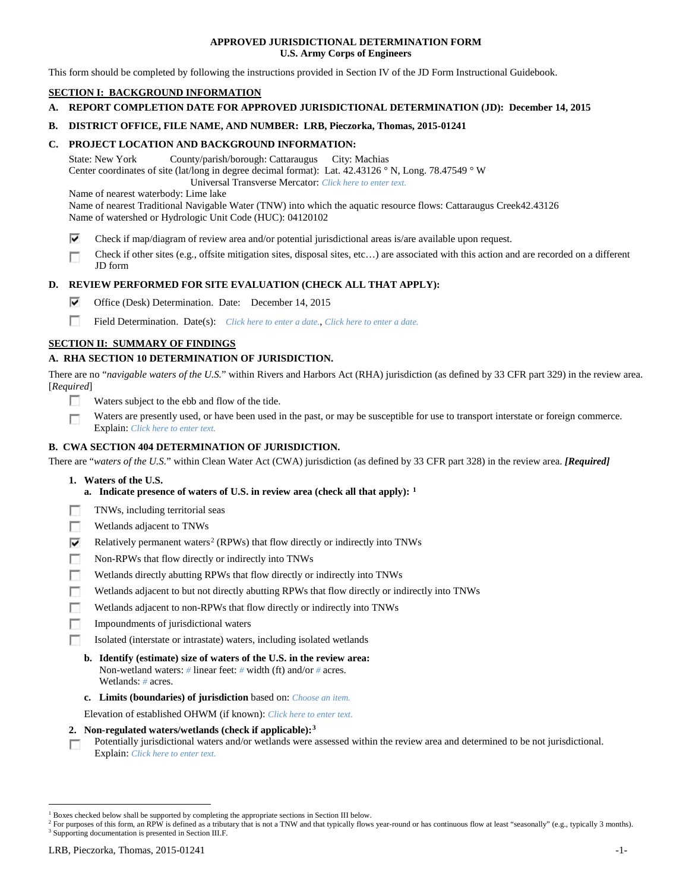# **APPROVED JURISDICTIONAL DETERMINATION FORM U.S. Army Corps of Engineers**

This form should be completed by following the instructions provided in Section IV of the JD Form Instructional Guidebook.

# **SECTION I: BACKGROUND INFORMATION**

**A. REPORT COMPLETION DATE FOR APPROVED JURISDICTIONAL DETERMINATION (JD): December 14, 2015**

# **B. DISTRICT OFFICE, FILE NAME, AND NUMBER: LRB, Pieczorka, Thomas, 2015-01241**

# **C. PROJECT LOCATION AND BACKGROUND INFORMATION:**

State: New York County/parish/borough: Cattaraugus City: Machias Center coordinates of site (lat/long in degree decimal format): Lat. 42.43126 ° N, Long. 78.47549 ° W

 Universal Transverse Mercator: *Click here to enter text.* Name of nearest waterbody: Lime lake

Name of nearest Traditional Navigable Water (TNW) into which the aquatic resource flows: Cattaraugus Creek42.43126 Name of watershed or Hydrologic Unit Code (HUC): 04120102

- ⊽ Check if map/diagram of review area and/or potential jurisdictional areas is/are available upon request.
- Check if other sites (e.g., offsite mitigation sites, disposal sites, etc…) are associated with this action and are recorded on a different г JD form

# **D. REVIEW PERFORMED FOR SITE EVALUATION (CHECK ALL THAT APPLY):**

- ⊽ Office (Desk) Determination. Date: December 14, 2015
- m Field Determination. Date(s): *Click here to enter a date.*, *Click here to enter a date.*

# **SECTION II: SUMMARY OF FINDINGS**

# **A. RHA SECTION 10 DETERMINATION OF JURISDICTION.**

There are no "*navigable waters of the U.S.*" within Rivers and Harbors Act (RHA) jurisdiction (as defined by 33 CFR part 329) in the review area. [*Required*]

- n Waters subject to the ebb and flow of the tide.
- Waters are presently used, or have been used in the past, or may be susceptible for use to transport interstate or foreign commerce. п Explain: *Click here to enter text.*

## **B. CWA SECTION 404 DETERMINATION OF JURISDICTION.**

There are "*waters of the U.S.*" within Clean Water Act (CWA) jurisdiction (as defined by 33 CFR part 328) in the review area. *[Required]*

- **1. Waters of the U.S.**
	- **a. Indicate presence of waters of U.S. in review area (check all that apply): [1](#page-0-0)**
- Е TNWs, including territorial seas
- п Wetlands adjacent to TNWs
- Relatively permanent waters<sup>[2](#page-0-1)</sup> (RPWs) that flow directly or indirectly into TNWs ⊽
- г Non-RPWs that flow directly or indirectly into TNWs
- п Wetlands directly abutting RPWs that flow directly or indirectly into TNWs
- Wetlands adjacent to but not directly abutting RPWs that flow directly or indirectly into TNWs г
- Wetlands adjacent to non-RPWs that flow directly or indirectly into TNWs г
- п Impoundments of jurisdictional waters
- Isolated (interstate or intrastate) waters, including isolated wetlands n.
	- **b. Identify (estimate) size of waters of the U.S. in the review area:** Non-wetland waters: *#* linear feet: *#* width (ft) and/or *#* acres. Wetlands: *#* acres.
	- **c. Limits (boundaries) of jurisdiction** based on: *Choose an item.*

Elevation of established OHWM (if known): *Click here to enter text.*

- **2. Non-regulated waters/wetlands (check if applicable):[3](#page-0-2)**
- Potentially jurisdictional waters and/or wetlands were assessed within the review area and determined to be not jurisdictional. п Explain: *Click here to enter text.*

<span id="page-0-0"></span> <sup>1</sup> Boxes checked below shall be supported by completing the appropriate sections in Section III below.

<span id="page-0-2"></span><span id="page-0-1"></span><sup>&</sup>lt;sup>2</sup> For purposes of this form, an RPW is defined as a tributary that is not a TNW and that typically flows year-round or has continuous flow at least "seasonally" (e.g., typically 3 months). <sup>3</sup> Supporting documentation is presented in Section III.F.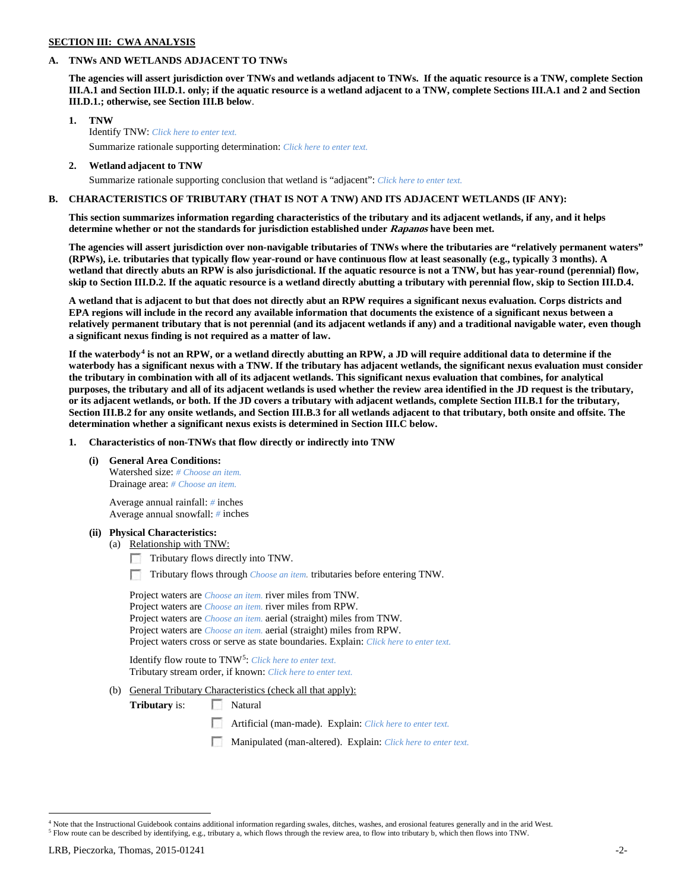# **SECTION III: CWA ANALYSIS**

#### **A. TNWs AND WETLANDS ADJACENT TO TNWs**

**The agencies will assert jurisdiction over TNWs and wetlands adjacent to TNWs. If the aquatic resource is a TNW, complete Section III.A.1 and Section III.D.1. only; if the aquatic resource is a wetland adjacent to a TNW, complete Sections III.A.1 and 2 and Section III.D.1.; otherwise, see Section III.B below**.

- **1. TNW**  Identify TNW: *Click here to enter text.*
	- Summarize rationale supporting determination: *Click here to enter text.*
- **2. Wetland adjacent to TNW** Summarize rationale supporting conclusion that wetland is "adjacent": *Click here to enter text.*

## **B. CHARACTERISTICS OF TRIBUTARY (THAT IS NOT A TNW) AND ITS ADJACENT WETLANDS (IF ANY):**

**This section summarizes information regarding characteristics of the tributary and its adjacent wetlands, if any, and it helps determine whether or not the standards for jurisdiction established under Rapanos have been met.** 

**The agencies will assert jurisdiction over non-navigable tributaries of TNWs where the tributaries are "relatively permanent waters" (RPWs), i.e. tributaries that typically flow year-round or have continuous flow at least seasonally (e.g., typically 3 months). A wetland that directly abuts an RPW is also jurisdictional. If the aquatic resource is not a TNW, but has year-round (perennial) flow, skip to Section III.D.2. If the aquatic resource is a wetland directly abutting a tributary with perennial flow, skip to Section III.D.4.**

**A wetland that is adjacent to but that does not directly abut an RPW requires a significant nexus evaluation. Corps districts and EPA regions will include in the record any available information that documents the existence of a significant nexus between a relatively permanent tributary that is not perennial (and its adjacent wetlands if any) and a traditional navigable water, even though a significant nexus finding is not required as a matter of law.**

**If the waterbody[4](#page-1-0) is not an RPW, or a wetland directly abutting an RPW, a JD will require additional data to determine if the waterbody has a significant nexus with a TNW. If the tributary has adjacent wetlands, the significant nexus evaluation must consider the tributary in combination with all of its adjacent wetlands. This significant nexus evaluation that combines, for analytical purposes, the tributary and all of its adjacent wetlands is used whether the review area identified in the JD request is the tributary, or its adjacent wetlands, or both. If the JD covers a tributary with adjacent wetlands, complete Section III.B.1 for the tributary, Section III.B.2 for any onsite wetlands, and Section III.B.3 for all wetlands adjacent to that tributary, both onsite and offsite. The determination whether a significant nexus exists is determined in Section III.C below.**

**1. Characteristics of non-TNWs that flow directly or indirectly into TNW**

**(i) General Area Conditions:**

Watershed size: *# Choose an item.* Drainage area: *# Choose an item.*

Average annual rainfall: *#* inches Average annual snowfall: *#* inches

#### **(ii) Physical Characteristics:**

- (a) Relationship with TNW:
	- Tributary flows directly into TNW.

n Tributary flows through *Choose an item.* tributaries before entering TNW.

Project waters are *Choose an item.* river miles from TNW. Project waters are *Choose an item.* river miles from RPW. Project waters are *Choose an item.* aerial (straight) miles from TNW. Project waters are *Choose an item.* aerial (straight) miles from RPW. Project waters cross or serve as state boundaries. Explain: *Click here to enter text.*

Identify flow route to TNW[5:](#page-1-1) *Click here to enter text.* Tributary stream order, if known: *Click here to enter text.*

(b) General Tributary Characteristics (check all that apply):

**Tributary** is: Natural

- Artificial (man-made). Explain: *Click here to enter text.*
- Manipulated (man-altered). Explain: *Click here to enter text.*

<span id="page-1-1"></span><span id="page-1-0"></span><sup>&</sup>lt;sup>4</sup> Note that the Instructional Guidebook contains additional information regarding swales, ditches, washes, and erosional features generally and in the arid West. <sup>5</sup> Flow route can be described by identifying, e.g., tributary a, which flows through the review area, to flow into tributary b, which then flows into TNW.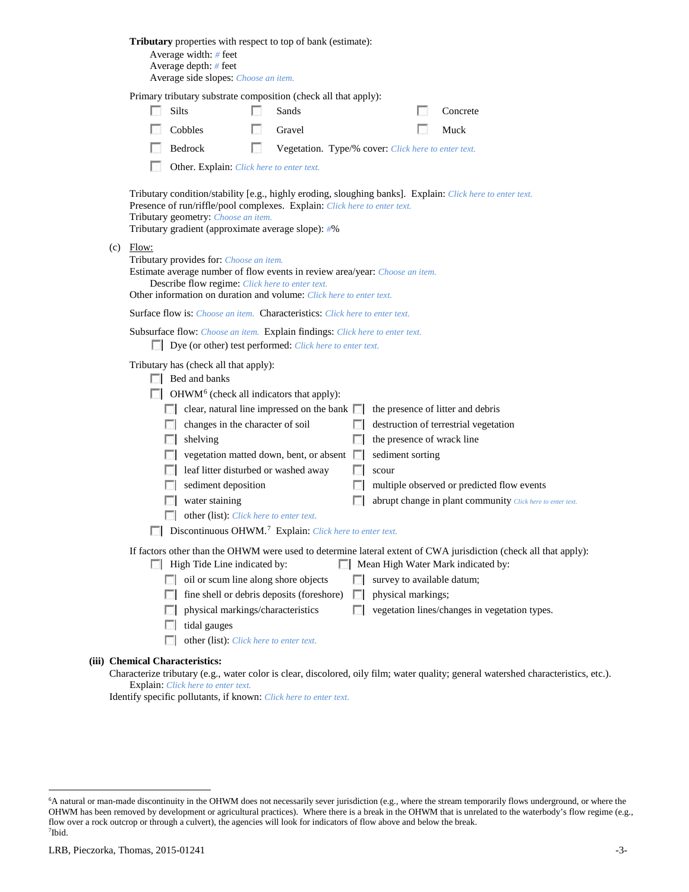|     |       | <b>Tributary</b> properties with respect to top of bank (estimate):<br>Average width: # feet<br>Average depth: # feet<br>Average side slopes: Choose an item.                                                     |     |                                                     |                      |                                                |                                                                                                                                                        |
|-----|-------|-------------------------------------------------------------------------------------------------------------------------------------------------------------------------------------------------------------------|-----|-----------------------------------------------------|----------------------|------------------------------------------------|--------------------------------------------------------------------------------------------------------------------------------------------------------|
|     |       | Primary tributary substrate composition (check all that apply):                                                                                                                                                   |     |                                                     |                      |                                                |                                                                                                                                                        |
|     |       | Silts                                                                                                                                                                                                             |     | Sands                                               |                      |                                                | Concrete                                                                                                                                               |
|     |       | Cobbles                                                                                                                                                                                                           |     | Gravel                                              |                      |                                                | Muck                                                                                                                                                   |
|     |       | Bedrock                                                                                                                                                                                                           | LS. | Vegetation. Type/% cover: Click here to enter text. |                      |                                                |                                                                                                                                                        |
|     |       | Other. Explain: Click here to enter text.                                                                                                                                                                         |     |                                                     |                      |                                                |                                                                                                                                                        |
| (c) | Flow: | Presence of run/riffle/pool complexes. Explain: Click here to enter text.<br>Tributary geometry: Choose an item.<br>Tributary gradient (approximate average slope): #%<br>Tributary provides for: Choose an item. |     |                                                     |                      |                                                | Tributary condition/stability [e.g., highly eroding, sloughing banks]. Explain: Click here to enter text.                                              |
|     |       | Estimate average number of flow events in review area/year: Choose an item.<br>Describe flow regime: Click here to enter text.<br>Other information on duration and volume: Click here to enter text.             |     |                                                     |                      |                                                |                                                                                                                                                        |
|     |       | <b>Surface flow is:</b> Choose an item. <b>Characteristics:</b> Click here to enter text.                                                                                                                         |     |                                                     |                      |                                                |                                                                                                                                                        |
|     |       | Subsurface flow: Choose an item. Explain findings: Click here to enter text.<br>Dye (or other) test performed: Click here to enter text.                                                                          |     |                                                     |                      |                                                |                                                                                                                                                        |
|     |       | Tributary has (check all that apply):<br>Bed and banks<br>$\Box$ OHWM <sup>6</sup> (check all indicators that apply):                                                                                             |     |                                                     |                      |                                                |                                                                                                                                                        |
|     |       | $\Box$ clear, natural line impressed on the bank $\Box$                                                                                                                                                           |     |                                                     |                      |                                                | the presence of litter and debris                                                                                                                      |
|     |       | changes in the character of soil<br><b>1000</b>                                                                                                                                                                   |     |                                                     | <b>ISBN</b>          |                                                | destruction of terrestrial vegetation                                                                                                                  |
|     |       | shelving<br>L.                                                                                                                                                                                                    |     | vegetation matted down, bent, or absent             | L.<br><b>In the </b> | the presence of wrack line<br>sediment sorting |                                                                                                                                                        |
|     |       | leaf litter disturbed or washed away                                                                                                                                                                              |     |                                                     | F 1                  | scour                                          |                                                                                                                                                        |
|     |       | sediment deposition                                                                                                                                                                                               |     |                                                     | ш                    |                                                | multiple observed or predicted flow events                                                                                                             |
|     |       | water staining                                                                                                                                                                                                    |     |                                                     |                      |                                                | abrupt change in plant community Click here to enter text.                                                                                             |
|     |       | other (list): Click here to enter text.                                                                                                                                                                           |     |                                                     |                      |                                                |                                                                                                                                                        |
|     |       | <b>Discontinuous OHWM.</b> <sup>7</sup> Explain: Click here to enter text.                                                                                                                                        |     |                                                     |                      |                                                |                                                                                                                                                        |
|     |       | High Tide Line indicated by:                                                                                                                                                                                      |     |                                                     |                      |                                                | If factors other than the OHWM were used to determine lateral extent of CWA jurisdiction (check all that apply):<br>Mean High Water Mark indicated by: |
|     |       | oil or scum line along shore objects<br><b>COLLEGE</b>                                                                                                                                                            |     |                                                     | FН                   | survey to available datum;                     |                                                                                                                                                        |
|     |       |                                                                                                                                                                                                                   |     | fine shell or debris deposits (foreshore)           | $\mathbb{R}^n$       | physical markings;                             |                                                                                                                                                        |
|     |       | physical markings/characteristics                                                                                                                                                                                 |     |                                                     | n                    |                                                | vegetation lines/changes in vegetation types.                                                                                                          |
|     |       | tidal gauges                                                                                                                                                                                                      |     |                                                     |                      |                                                |                                                                                                                                                        |
|     |       | other (list): Click here to enter text.                                                                                                                                                                           |     |                                                     |                      |                                                |                                                                                                                                                        |
|     |       | (iii) Chemical Characteristics:                                                                                                                                                                                   |     |                                                     |                      |                                                | Characterize tributary (e.g., water color is clear, discolored, oily film; water quality; general watershed characteristics, etc.).                    |
|     |       | Explain: Click here to enter text.                                                                                                                                                                                |     |                                                     |                      |                                                |                                                                                                                                                        |

Identify specific pollutants, if known: *Click here to enter text.*

<span id="page-2-1"></span><span id="page-2-0"></span> <sup>6</sup> <sup>6</sup>A natural or man-made discontinuity in the OHWM does not necessarily sever jurisdiction (e.g., where the stream temporarily flows underground, or where the OHWM has been removed by development or agricultural practices). Where there is a break in the OHWM that is unrelated to the waterbody's flow regime (e.g., flow over a rock outcrop or through a culvert), the agencies will look for indicators of flow above and below the break. 7 Ibid.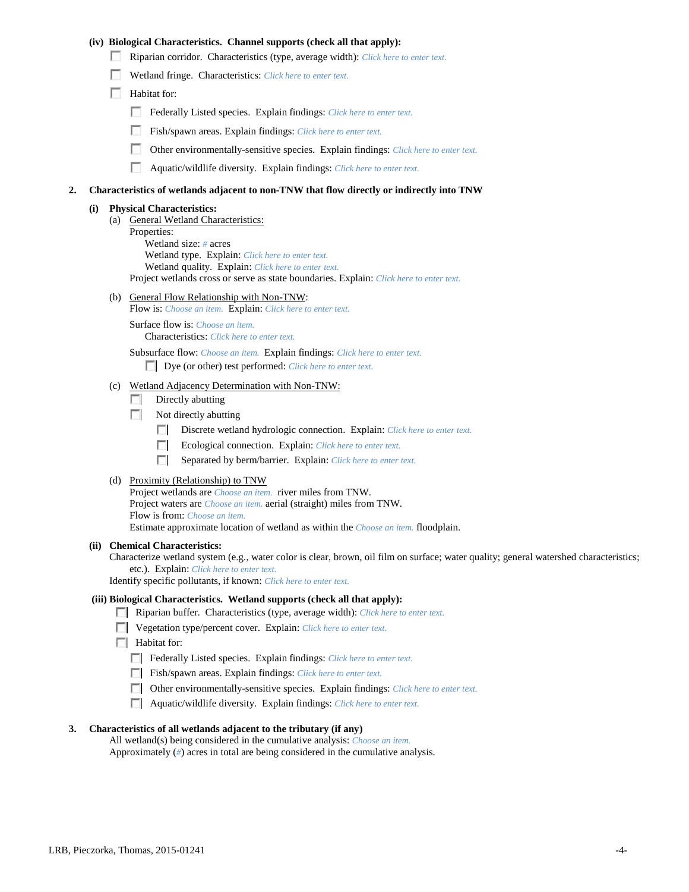# **(iv) Biological Characteristics. Channel supports (check all that apply):**

- Riparian corridor. Characteristics (type, average width): *Click here to enter text.*
- Wetland fringe. Characteristics: *Click here to enter text.*
- Habitat for:
	- Federally Listed species. Explain findings: *Click here to enter text.*
	- Fish/spawn areas. Explain findings: *Click here to enter text.*
	- Other environmentally-sensitive species. Explain findings: *Click here to enter text.*
	- n Aquatic/wildlife diversity. Explain findings: *Click here to enter text.*

#### **2. Characteristics of wetlands adjacent to non-TNW that flow directly or indirectly into TNW**

#### **(i) Physical Characteristics:**

- (a) General Wetland Characteristics:
	- Properties:

Wetland size: *#* acres Wetland type. Explain: *Click here to enter text.*

Wetland quality. Explain: *Click here to enter text.*

Project wetlands cross or serve as state boundaries. Explain: *Click here to enter text.*

(b) General Flow Relationship with Non-TNW: Flow is: *Choose an item.* Explain: *Click here to enter text.*

Surface flow is: *Choose an item.* Characteristics: *Click here to enter text.*

Subsurface flow: *Choose an item.* Explain findings: *Click here to enter text.*

Dye (or other) test performed: *Click here to enter text.*

#### (c) Wetland Adjacency Determination with Non-TNW:

- $\Box$  Directly abutting
- Not directly abutting
	- 100 Discrete wetland hydrologic connection. Explain: *Click here to enter text.*
	- Ecological connection. Explain: *Click here to enter text.* **The Company**
	- $\sim$ Separated by berm/barrier. Explain: *Click here to enter text.*
- (d) Proximity (Relationship) to TNW

Project wetlands are *Choose an item.* river miles from TNW. Project waters are *Choose an item.* aerial (straight) miles from TNW. Flow is from: *Choose an item.* Estimate approximate location of wetland as within the *Choose an item.* floodplain.

#### **(ii) Chemical Characteristics:**

Characterize wetland system (e.g., water color is clear, brown, oil film on surface; water quality; general watershed characteristics; etc.). Explain: *Click here to enter text.*

Identify specific pollutants, if known: *Click here to enter text.*

## **(iii) Biological Characteristics. Wetland supports (check all that apply):**

- Riparian buffer. Characteristics (type, average width): *Click here to enter text.*
- Vegetation type/percent cover. Explain: *Click here to enter text.*
- $\Box$  Habitat for:
	- Federally Listed species. Explain findings: *Click here to enter text*.
	- Fish/spawn areas. Explain findings: *Click here to enter text*.
	- Other environmentally-sensitive species. Explain findings: *Click here to enter text.*
	- Aquatic/wildlife diversity. Explain findings: *Click here to enter text.*

#### **3. Characteristics of all wetlands adjacent to the tributary (if any)**

All wetland(s) being considered in the cumulative analysis: *Choose an item.* Approximately (*#*) acres in total are being considered in the cumulative analysis.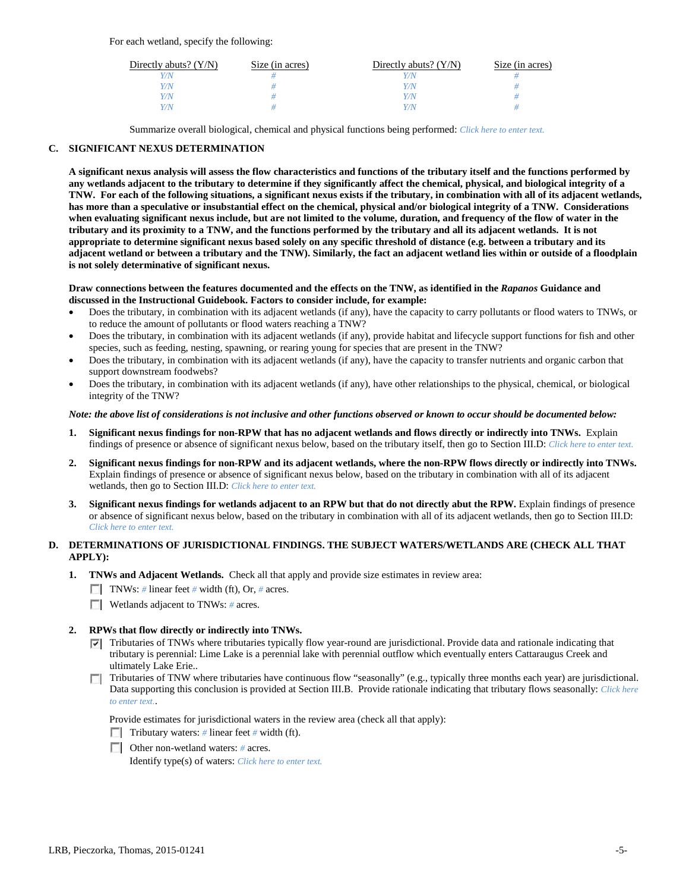For each wetland, specify the following:

| Directly abuts? $(Y/N)$ | Size (in acres) | Directly abuts? $(Y/N)$ | Size (in acres) |
|-------------------------|-----------------|-------------------------|-----------------|
| Y/N                     |                 |                         |                 |
| Y/N                     |                 | Y/N                     |                 |
| Y/N                     |                 | Y/N                     |                 |
| Y/N                     |                 | Y/N                     |                 |

Summarize overall biological, chemical and physical functions being performed: *Click here to enter text.*

# **C. SIGNIFICANT NEXUS DETERMINATION**

**A significant nexus analysis will assess the flow characteristics and functions of the tributary itself and the functions performed by any wetlands adjacent to the tributary to determine if they significantly affect the chemical, physical, and biological integrity of a TNW. For each of the following situations, a significant nexus exists if the tributary, in combination with all of its adjacent wetlands, has more than a speculative or insubstantial effect on the chemical, physical and/or biological integrity of a TNW. Considerations when evaluating significant nexus include, but are not limited to the volume, duration, and frequency of the flow of water in the tributary and its proximity to a TNW, and the functions performed by the tributary and all its adjacent wetlands. It is not appropriate to determine significant nexus based solely on any specific threshold of distance (e.g. between a tributary and its adjacent wetland or between a tributary and the TNW). Similarly, the fact an adjacent wetland lies within or outside of a floodplain is not solely determinative of significant nexus.** 

### **Draw connections between the features documented and the effects on the TNW, as identified in the** *Rapanos* **Guidance and discussed in the Instructional Guidebook. Factors to consider include, for example:**

- Does the tributary, in combination with its adjacent wetlands (if any), have the capacity to carry pollutants or flood waters to TNWs, or to reduce the amount of pollutants or flood waters reaching a TNW?
- Does the tributary, in combination with its adjacent wetlands (if any), provide habitat and lifecycle support functions for fish and other species, such as feeding, nesting, spawning, or rearing young for species that are present in the TNW?
- Does the tributary, in combination with its adjacent wetlands (if any), have the capacity to transfer nutrients and organic carbon that support downstream foodwebs?
- Does the tributary, in combination with its adjacent wetlands (if any), have other relationships to the physical, chemical, or biological integrity of the TNW?

### *Note: the above list of considerations is not inclusive and other functions observed or known to occur should be documented below:*

- **1. Significant nexus findings for non-RPW that has no adjacent wetlands and flows directly or indirectly into TNWs.** Explain findings of presence or absence of significant nexus below, based on the tributary itself, then go to Section III.D: *Click here to enter text.*
- **2. Significant nexus findings for non-RPW and its adjacent wetlands, where the non-RPW flows directly or indirectly into TNWs.**  Explain findings of presence or absence of significant nexus below, based on the tributary in combination with all of its adjacent wetlands, then go to Section III.D: *Click here to enter text.*
- **3. Significant nexus findings for wetlands adjacent to an RPW but that do not directly abut the RPW.** Explain findings of presence or absence of significant nexus below, based on the tributary in combination with all of its adjacent wetlands, then go to Section III.D: *Click here to enter text.*

# **D. DETERMINATIONS OF JURISDICTIONAL FINDINGS. THE SUBJECT WATERS/WETLANDS ARE (CHECK ALL THAT APPLY):**

- **1. TNWs and Adjacent Wetlands.** Check all that apply and provide size estimates in review area:
	- TNWs: *#* linear feet *#* width (ft), Or, *#* acres.
	- **Wetlands adjacent to TNWs: # acres.**

# **2. RPWs that flow directly or indirectly into TNWs.**

- Tributaries of TNWs where tributaries typically flow year-round are jurisdictional. Provide data and rationale indicating that tributary is perennial: Lime Lake is a perennial lake with perennial outflow which eventually enters Cattaraugus Creek and ultimately Lake Erie..
- Tributaries of TNW where tributaries have continuous flow "seasonally" (e.g., typically three months each year) are jurisdictional. Data supporting this conclusion is provided at Section III.B. Provide rationale indicating that tributary flows seasonally: *Click here to enter text.*.

Provide estimates for jurisdictional waters in the review area (check all that apply):

- **Tributary waters:** # linear feet # width (ft).
- Other non-wetland waters: # acres.

Identify type(s) of waters: *Click here to enter text.*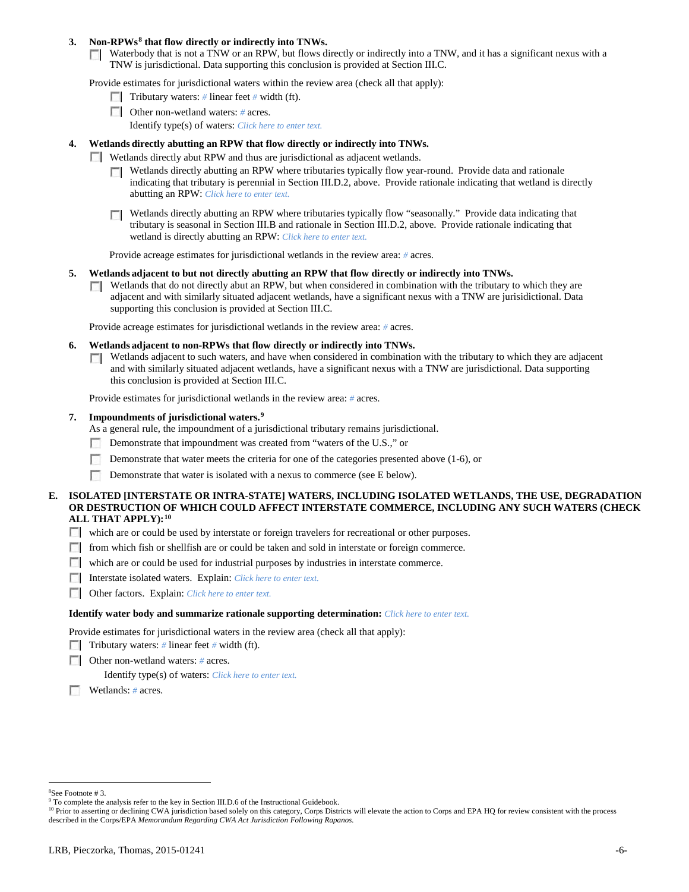## **3. Non-RPWs[8](#page-5-0) that flow directly or indirectly into TNWs.**

Waterbody that is not a TNW or an RPW, but flows directly or indirectly into a TNW, and it has a significant nexus with a TNW is jurisdictional. Data supporting this conclusion is provided at Section III.C.

Provide estimates for jurisdictional waters within the review area (check all that apply):

- **Tributary waters:** # linear feet # width (ft).
- Other non-wetland waters: *#* acres. Identify type(s) of waters: *Click here to enter text.*
- **4. Wetlands directly abutting an RPW that flow directly or indirectly into TNWs.**
	- **Wetlands directly abut RPW and thus are jurisdictional as adjacent wetlands.** 
		- $\Box$  Wetlands directly abutting an RPW where tributaries typically flow year-round. Provide data and rationale indicating that tributary is perennial in Section III.D.2, above. Provide rationale indicating that wetland is directly abutting an RPW: *Click here to enter text.*
		- Wetlands directly abutting an RPW where tributaries typically flow "seasonally." Provide data indicating that tributary is seasonal in Section III.B and rationale in Section III.D.2, above. Provide rationale indicating that wetland is directly abutting an RPW: *Click here to enter text.*

Provide acreage estimates for jurisdictional wetlands in the review area: *#* acres.

- **5. Wetlands adjacent to but not directly abutting an RPW that flow directly or indirectly into TNWs.**
	- $\Box$  Wetlands that do not directly abut an RPW, but when considered in combination with the tributary to which they are adjacent and with similarly situated adjacent wetlands, have a significant nexus with a TNW are jurisidictional. Data supporting this conclusion is provided at Section III.C.

Provide acreage estimates for jurisdictional wetlands in the review area: *#* acres.

- **6. Wetlands adjacent to non-RPWs that flow directly or indirectly into TNWs.** 
	- Wetlands adjacent to such waters, and have when considered in combination with the tributary to which they are adjacent Г. and with similarly situated adjacent wetlands, have a significant nexus with a TNW are jurisdictional. Data supporting this conclusion is provided at Section III.C.

Provide estimates for jurisdictional wetlands in the review area: *#* acres.

### **7. Impoundments of jurisdictional waters. [9](#page-5-1)**

As a general rule, the impoundment of a jurisdictional tributary remains jurisdictional.

- Demonstrate that impoundment was created from "waters of the U.S.," or
- Demonstrate that water meets the criteria for one of the categories presented above (1-6), or
- n Demonstrate that water is isolated with a nexus to commerce (see E below).
- **E. ISOLATED [INTERSTATE OR INTRA-STATE] WATERS, INCLUDING ISOLATED WETLANDS, THE USE, DEGRADATION OR DESTRUCTION OF WHICH COULD AFFECT INTERSTATE COMMERCE, INCLUDING ANY SUCH WATERS (CHECK ALL THAT APPLY):[10](#page-5-2)**
	- which are or could be used by interstate or foreign travelers for recreational or other purposes.
	- from which fish or shellfish are or could be taken and sold in interstate or foreign commerce.
	- which are or could be used for industrial purposes by industries in interstate commerce.
	- Interstate isolated waters.Explain: *Click here to enter text.*
	- Other factors.Explain: *Click here to enter text.*

#### **Identify water body and summarize rationale supporting determination:** *Click here to enter text.*

Provide estimates for jurisdictional waters in the review area (check all that apply):

- Tributary waters: # linear feet # width (ft).
- Other non-wetland waters: *#* acres.

Identify type(s) of waters: *Click here to enter text.*

Wetlands: *#* acres.

 $\frac{1}{8}$ See Footnote # 3.

<span id="page-5-1"></span><span id="page-5-0"></span><sup>&</sup>lt;sup>9</sup> To complete the analysis refer to the key in Section III.D.6 of the Instructional Guidebook.

<span id="page-5-2"></span><sup>&</sup>lt;sup>10</sup> Prior to asserting or declining CWA jurisdiction based solely on this category, Corps Districts will elevate the action to Corps and EPA HQ for review consistent with the process described in the Corps/EPA *Memorandum Regarding CWA Act Jurisdiction Following Rapanos.*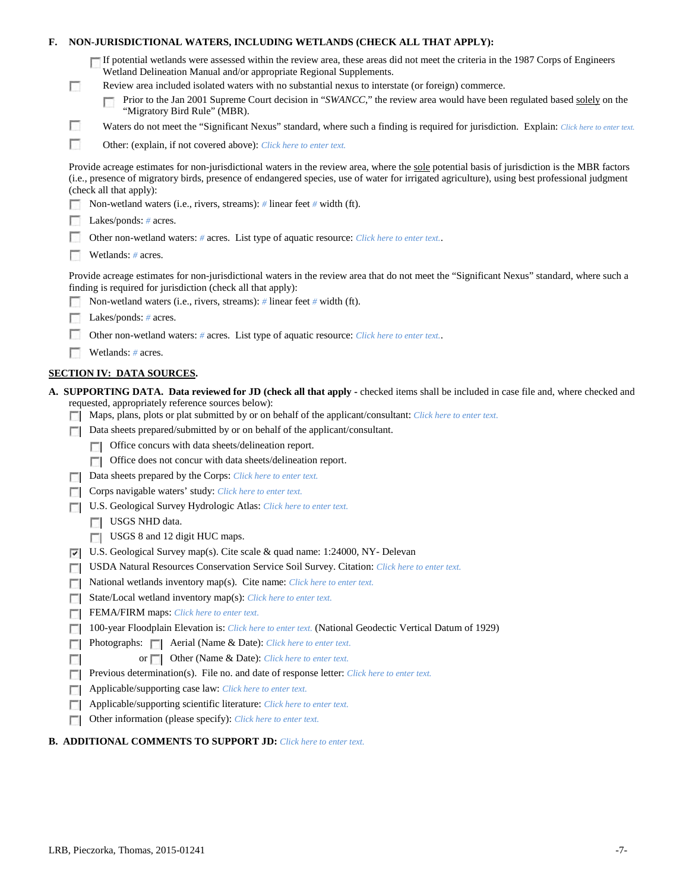| F. |            | NON-JURISDICTIONAL WATERS, INCLUDING WETLANDS (CHECK ALL THAT APPLY):                                                                                                                                                                                                                                                     |
|----|------------|---------------------------------------------------------------------------------------------------------------------------------------------------------------------------------------------------------------------------------------------------------------------------------------------------------------------------|
|    | <b>COL</b> | If potential wetlands were assessed within the review area, these areas did not meet the criteria in the 1987 Corps of Engineers<br>Wetland Delineation Manual and/or appropriate Regional Supplements.<br>Review area included isolated waters with no substantial nexus to interstate (or foreign) commerce.            |
|    |            | Prior to the Jan 2001 Supreme Court decision in "SWANCC," the review area would have been regulated based solely on the<br>"Migratory Bird Rule" (MBR).                                                                                                                                                                   |
|    | L.         | Waters do not meet the "Significant Nexus" standard, where such a finding is required for jurisdiction. Explain: Click here to enter text.                                                                                                                                                                                |
|    | П          | Other: (explain, if not covered above): Click here to enter text.                                                                                                                                                                                                                                                         |
|    |            | Provide acreage estimates for non-jurisdictional waters in the review area, where the sole potential basis of jurisdiction is the MBR factors<br>(i.e., presence of migratory birds, presence of endangered species, use of water for irrigated agriculture), using best professional judgment<br>(check all that apply): |
|    |            | Non-wetland waters (i.e., rivers, streams): # linear feet # width (ft).                                                                                                                                                                                                                                                   |
|    |            | Lakes/ponds: $# \, \text{acres.}$                                                                                                                                                                                                                                                                                         |
|    |            | Other non-wetland waters: # acres. List type of aquatic resource: Click here to enter text                                                                                                                                                                                                                                |
|    |            | Wetlands: # acres.                                                                                                                                                                                                                                                                                                        |
|    |            | Provide acreage estimates for non-jurisdictional waters in the review area that do not meet the "Significant Nexus" standard, where such a<br>finding is required for jurisdiction (check all that apply):                                                                                                                |
|    |            | Non-wetland waters (i.e., rivers, streams): $\#$ linear feet $\#$ width (ft).                                                                                                                                                                                                                                             |
|    |            | Lakes/ponds: $# \, \text{acres.}$                                                                                                                                                                                                                                                                                         |
|    |            | Other non-wetland waters: # acres. List type of aquatic resource: Click here to enter text                                                                                                                                                                                                                                |
|    |            | Wetlands: # acres.                                                                                                                                                                                                                                                                                                        |
|    |            | <b>SECTION IV: DATA SOURCES.</b>                                                                                                                                                                                                                                                                                          |
|    |            | A. SUPPORTING DATA. Data reviewed for JD (check all that apply - checked items shall be included in case file and, where checked and<br>requested, appropriately reference sources below):<br>Maps, plans, plots or plat submitted by or on behalf of the applicant/consultant: Click here to enter text.                 |
|    |            | Data sheets prepared/submitted by or on behalf of the applicant/consultant.                                                                                                                                                                                                                                               |
|    |            | Office concurs with data sheets/delineation report.                                                                                                                                                                                                                                                                       |
|    |            | Office does not concur with data sheets/delineation report.<br>$\Box$                                                                                                                                                                                                                                                     |
|    |            | Data sheets prepared by the Corps: Click here to enter text.                                                                                                                                                                                                                                                              |
|    |            | Corps navigable waters' study: Click here to enter text.                                                                                                                                                                                                                                                                  |
|    |            | U.S. Geological Survey Hydrologic Atlas: Click here to enter text.                                                                                                                                                                                                                                                        |
|    |            |                                                                                                                                                                                                                                                                                                                           |
|    |            | USGS NHD data.                                                                                                                                                                                                                                                                                                            |
|    |            | <b>USGS 8</b> and 12 digit HUC maps.                                                                                                                                                                                                                                                                                      |
|    | ⊽          | U.S. Geological Survey map(s). Cite scale & quad name: 1:24000, NY- Delevan                                                                                                                                                                                                                                               |
|    |            | USDA Natural Resources Conservation Service Soil Survey. Citation: Click here to enter text.                                                                                                                                                                                                                              |
|    | г          | National wetlands inventory map(s). Cite name: Click here to enter text.                                                                                                                                                                                                                                                  |
|    | г          | State/Local wetland inventory map(s): Click here to enter text.                                                                                                                                                                                                                                                           |
|    |            | FEMA/FIRM maps: Click here to enter text.                                                                                                                                                                                                                                                                                 |
|    |            | 100-year Floodplain Elevation is: Click here to enter text. (National Geodectic Vertical Datum of 1929)                                                                                                                                                                                                                   |
|    |            | Photographs:   Aerial (Name & Date): Click here to enter text.                                                                                                                                                                                                                                                            |
|    |            | Other (Name & Date): Click here to enter text.<br>or $\Box$                                                                                                                                                                                                                                                               |
|    |            | Previous determination(s). File no. and date of response letter: Click here to enter text.                                                                                                                                                                                                                                |
|    | г          | Applicable/supporting case law: Click here to enter text.                                                                                                                                                                                                                                                                 |
|    | г<br>г     | Applicable/supporting scientific literature: Click here to enter text.<br>Other information (please specify): Click here to enter text.                                                                                                                                                                                   |

# **B. ADDITIONAL COMMENTS TO SUPPORT JD:** *Click here to enter text.*